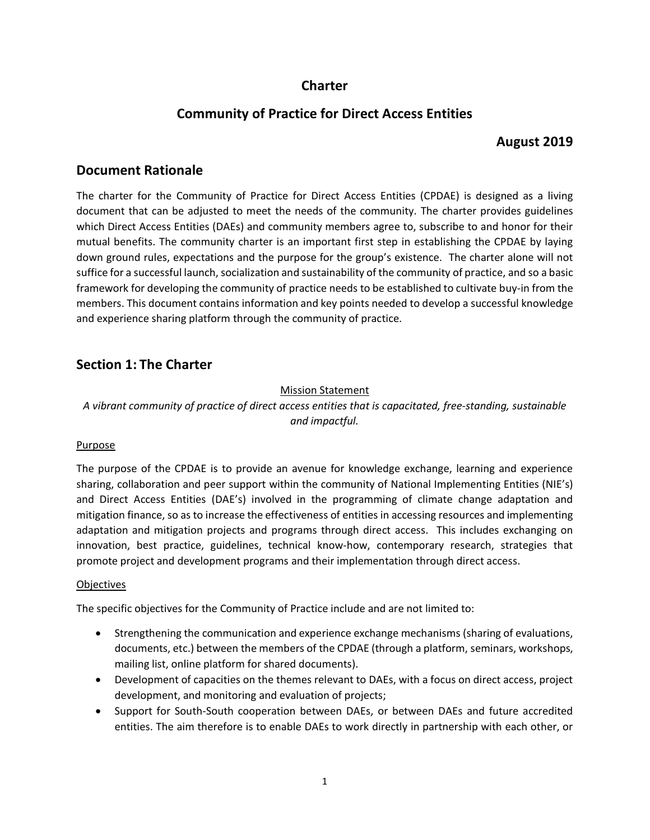# **Charter**

# **Community of Practice for Direct Access Entities**

# **August 2019**

# **Document Rationale**

The charter for the Community of Practice for Direct Access Entities (CPDAE) is designed as a living document that can be adjusted to meet the needs of the community. The charter provides guidelines which Direct Access Entities (DAEs) and community members agree to, subscribe to and honor for their mutual benefits. The community charter is an important first step in establishing the CPDAE by laying down ground rules, expectations and the purpose for the group's existence. The charter alone will not suffice for a successful launch, socialization and sustainability of the community of practice, and so a basic framework for developing the community of practice needs to be established to cultivate buy-in from the members. This document contains information and key points needed to develop a successful knowledge and experience sharing platform through the community of practice.

# **Section 1: The Charter**

### Mission Statement

*A vibrant community of practice of direct access entities that is capacitated, free-standing, sustainable and impactful.*

#### Purpose

The purpose of the CPDAE is to provide an avenue for knowledge exchange, learning and experience sharing, collaboration and peer support within the community of National Implementing Entities (NIE's) and Direct Access Entities (DAE's) involved in the programming of climate change adaptation and mitigation finance, so as to increase the effectiveness of entities in accessing resources and implementing adaptation and mitigation projects and programs through direct access. This includes exchanging on innovation, best practice, guidelines, technical know-how, contemporary research, strategies that promote project and development programs and their implementation through direct access.

#### **Objectives**

The specific objectives for the Community of Practice include and are not limited to:

- Strengthening the communication and experience exchange mechanisms (sharing of evaluations, documents, etc.) between the members of the CPDAE (through a platform, seminars, workshops, mailing list, online platform for shared documents).
- Development of capacities on the themes relevant to DAEs, with a focus on direct access, project development, and monitoring and evaluation of projects;
- Support for South-South cooperation between DAEs, or between DAEs and future accredited entities. The aim therefore is to enable DAEs to work directly in partnership with each other, or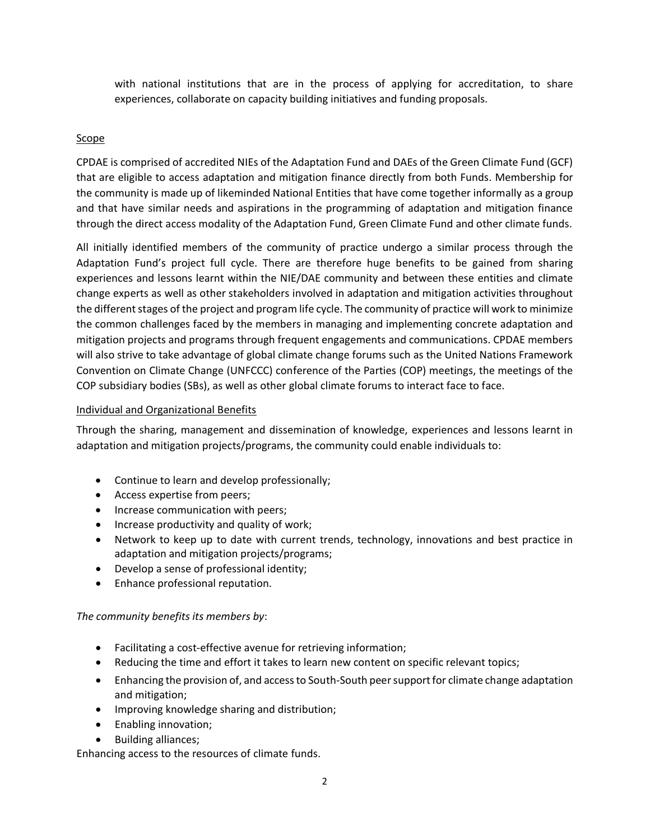with national institutions that are in the process of applying for accreditation, to share experiences, collaborate on capacity building initiatives and funding proposals.

### Scope

CPDAE is comprised of accredited NIEs of the Adaptation Fund and DAEs of the Green Climate Fund (GCF) that are eligible to access adaptation and mitigation finance directly from both Funds. Membership for the community is made up of likeminded National Entities that have come together informally as a group and that have similar needs and aspirations in the programming of adaptation and mitigation finance through the direct access modality of the Adaptation Fund, Green Climate Fund and other climate funds.

All initially identified members of the community of practice undergo a similar process through the Adaptation Fund's project full cycle. There are therefore huge benefits to be gained from sharing experiences and lessons learnt within the NIE/DAE community and between these entities and climate change experts as well as other stakeholders involved in adaptation and mitigation activities throughout the different stages of the project and program life cycle. The community of practice will work to minimize the common challenges faced by the members in managing and implementing concrete adaptation and mitigation projects and programs through frequent engagements and communications. CPDAE members will also strive to take advantage of global climate change forums such as the United Nations Framework Convention on Climate Change (UNFCCC) conference of the Parties (COP) meetings, the meetings of the COP subsidiary bodies (SBs), as well as other global climate forums to interact face to face.

#### Individual and Organizational Benefits

Through the sharing, management and dissemination of knowledge, experiences and lessons learnt in adaptation and mitigation projects/programs, the community could enable individuals to:

- Continue to learn and develop professionally;
- Access expertise from peers;
- Increase communication with peers;
- Increase productivity and quality of work;
- Network to keep up to date with current trends, technology, innovations and best practice in adaptation and mitigation projects/programs;
- Develop a sense of professional identity;
- Enhance professional reputation.

#### *The community benefits its members by*:

- Facilitating a cost-effective avenue for retrieving information;
- Reducing the time and effort it takes to learn new content on specific relevant topics;
- Enhancing the provision of, and access to South-South peer support for climate change adaptation and mitigation;
- Improving knowledge sharing and distribution;
- Enabling innovation;
- Building alliances;

Enhancing access to the resources of climate funds.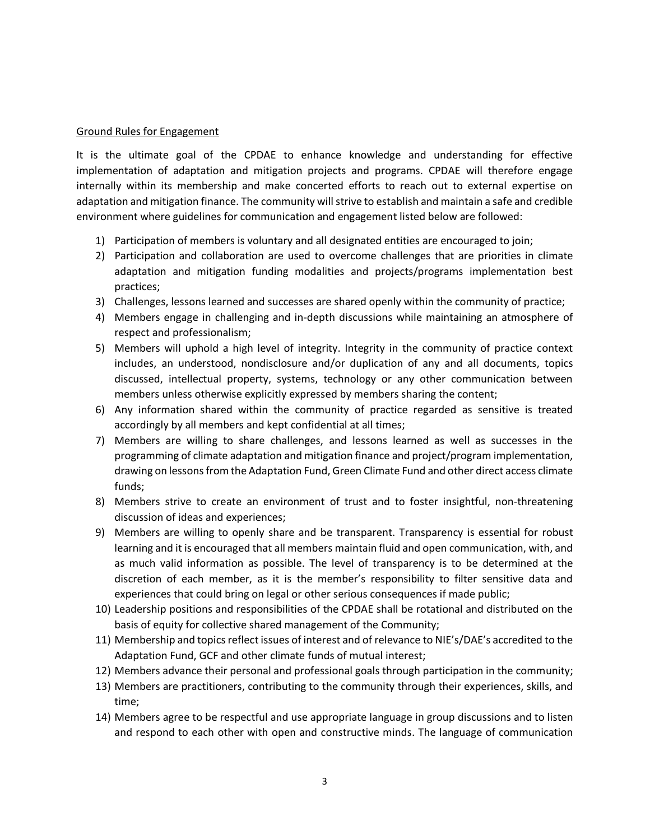#### Ground Rules for Engagement

It is the ultimate goal of the CPDAE to enhance knowledge and understanding for effective implementation of adaptation and mitigation projects and programs. CPDAE will therefore engage internally within its membership and make concerted efforts to reach out to external expertise on adaptation and mitigation finance. The community will strive to establish and maintain a safe and credible environment where guidelines for communication and engagement listed below are followed:

- 1) Participation of members is voluntary and all designated entities are encouraged to join;
- 2) Participation and collaboration are used to overcome challenges that are priorities in climate adaptation and mitigation funding modalities and projects/programs implementation best practices;
- 3) Challenges, lessons learned and successes are shared openly within the community of practice;
- 4) Members engage in challenging and in-depth discussions while maintaining an atmosphere of respect and professionalism;
- 5) Members will uphold a high level of integrity. Integrity in the community of practice context includes, an understood, nondisclosure and/or duplication of any and all documents, topics discussed, intellectual property, systems, technology or any other communication between members unless otherwise explicitly expressed by members sharing the content;
- 6) Any information shared within the community of practice regarded as sensitive is treated accordingly by all members and kept confidential at all times;
- 7) Members are willing to share challenges, and lessons learned as well as successes in the programming of climate adaptation and mitigation finance and project/program implementation, drawing on lessons from the Adaptation Fund, Green Climate Fund and other direct access climate funds;
- 8) Members strive to create an environment of trust and to foster insightful, non-threatening discussion of ideas and experiences;
- 9) Members are willing to openly share and be transparent. Transparency is essential for robust learning and it is encouraged that all members maintain fluid and open communication, with, and as much valid information as possible. The level of transparency is to be determined at the discretion of each member, as it is the member's responsibility to filter sensitive data and experiences that could bring on legal or other serious consequences if made public;
- 10) Leadership positions and responsibilities of the CPDAE shall be rotational and distributed on the basis of equity for collective shared management of the Community;
- 11) Membership and topics reflect issues of interest and of relevance to NIE's/DAE's accredited to the Adaptation Fund, GCF and other climate funds of mutual interest;
- 12) Members advance their personal and professional goals through participation in the community;
- 13) Members are practitioners, contributing to the community through their experiences, skills, and time;
- 14) Members agree to be respectful and use appropriate language in group discussions and to listen and respond to each other with open and constructive minds. The language of communication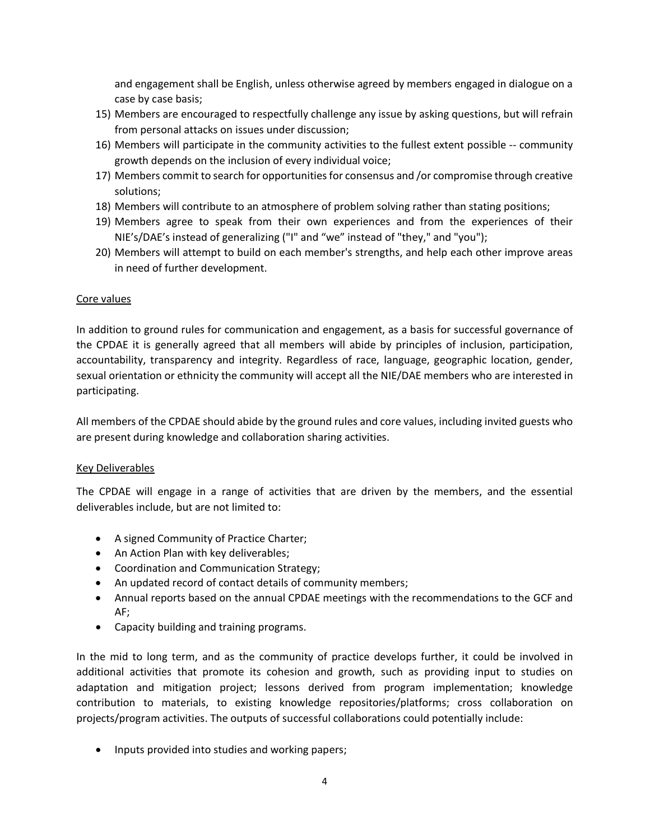and engagement shall be English, unless otherwise agreed by members engaged in dialogue on a case by case basis;

- 15) Members are encouraged to respectfully challenge any issue by asking questions, but will refrain from personal attacks on issues under discussion;
- 16) Members will participate in the community activities to the fullest extent possible -- community growth depends on the inclusion of every individual voice;
- 17) Members commit to search for opportunities for consensus and /or compromise through creative solutions;
- 18) Members will contribute to an atmosphere of problem solving rather than stating positions;
- 19) Members agree to speak from their own experiences and from the experiences of their NIE's/DAE's instead of generalizing ("I" and "we" instead of "they," and "you");
- 20) Members will attempt to build on each member's strengths, and help each other improve areas in need of further development.

#### Core values

In addition to ground rules for communication and engagement, as a basis for successful governance of the CPDAE it is generally agreed that all members will abide by principles of inclusion, participation, accountability, transparency and integrity. Regardless of race, language, geographic location, gender, sexual orientation or ethnicity the community will accept all the NIE/DAE members who are interested in participating.

All members of the CPDAE should abide by the ground rules and core values, including invited guests who are present during knowledge and collaboration sharing activities.

#### Key Deliverables

The CPDAE will engage in a range of activities that are driven by the members, and the essential deliverables include, but are not limited to:

- A signed Community of Practice Charter;
- An Action Plan with key deliverables;
- Coordination and Communication Strategy;
- An updated record of contact details of community members;
- Annual reports based on the annual CPDAE meetings with the recommendations to the GCF and AF;
- Capacity building and training programs.

In the mid to long term, and as the community of practice develops further, it could be involved in additional activities that promote its cohesion and growth, such as providing input to studies on adaptation and mitigation project; lessons derived from program implementation; knowledge contribution to materials, to existing knowledge repositories/platforms; cross collaboration on projects/program activities. The outputs of successful collaborations could potentially include:

• Inputs provided into studies and working papers;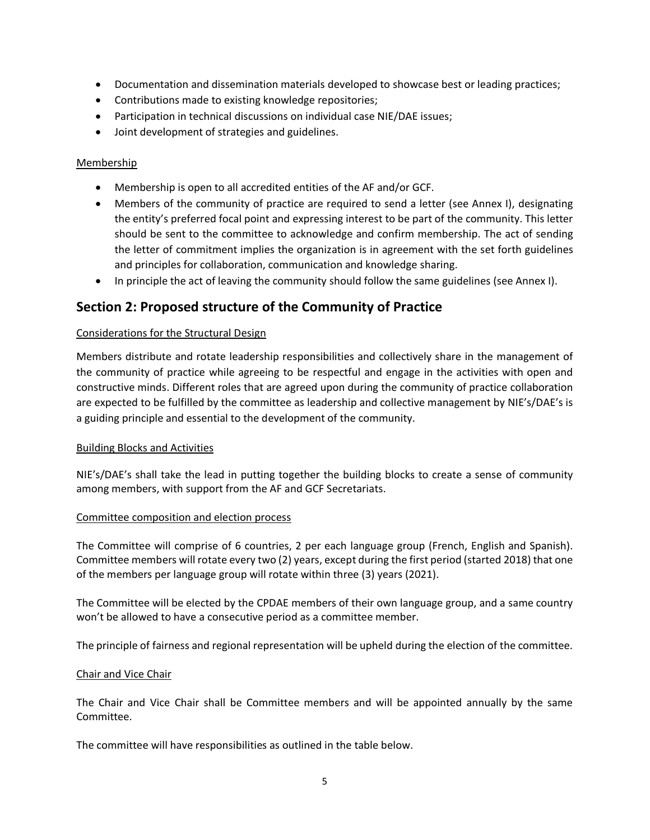- Documentation and dissemination materials developed to showcase best or leading practices;
- Contributions made to existing knowledge repositories;
- Participation in technical discussions on individual case NIE/DAE issues;
- Joint development of strategies and guidelines.

#### **Membership**

- Membership is open to all accredited entities of the AF and/or GCF.
- Members of the community of practice are required to send a letter (see Annex I), designating the entity's preferred focal point and expressing interest to be part of the community. This letter should be sent to the committee to acknowledge and confirm membership. The act of sending the letter of commitment implies the organization is in agreement with the set forth guidelines and principles for collaboration, communication and knowledge sharing.
- In principle the act of leaving the community should follow the same guidelines (see Annex I).

## **Section 2: Proposed structure of the Community of Practice**

#### Considerations for the Structural Design

Members distribute and rotate leadership responsibilities and collectively share in the management of the community of practice while agreeing to be respectful and engage in the activities with open and constructive minds. Different roles that are agreed upon during the community of practice collaboration are expected to be fulfilled by the committee as leadership and collective management by NIE's/DAE's is a guiding principle and essential to the development of the community.

#### Building Blocks and Activities

NIE's/DAE's shall take the lead in putting together the building blocks to create a sense of community among members, with support from the AF and GCF Secretariats.

#### Committee composition and election process

The Committee will comprise of 6 countries, 2 per each language group (French, English and Spanish). Committee members will rotate every two (2) years, except during the first period (started 2018) that one of the members per language group will rotate within three (3) years (2021).

The Committee will be elected by the CPDAE members of their own language group, and a same country won't be allowed to have a consecutive period as a committee member.

The principle of fairness and regional representation will be upheld during the election of the committee.

#### Chair and Vice Chair

The Chair and Vice Chair shall be Committee members and will be appointed annually by the same Committee.

The committee will have responsibilities as outlined in the table below.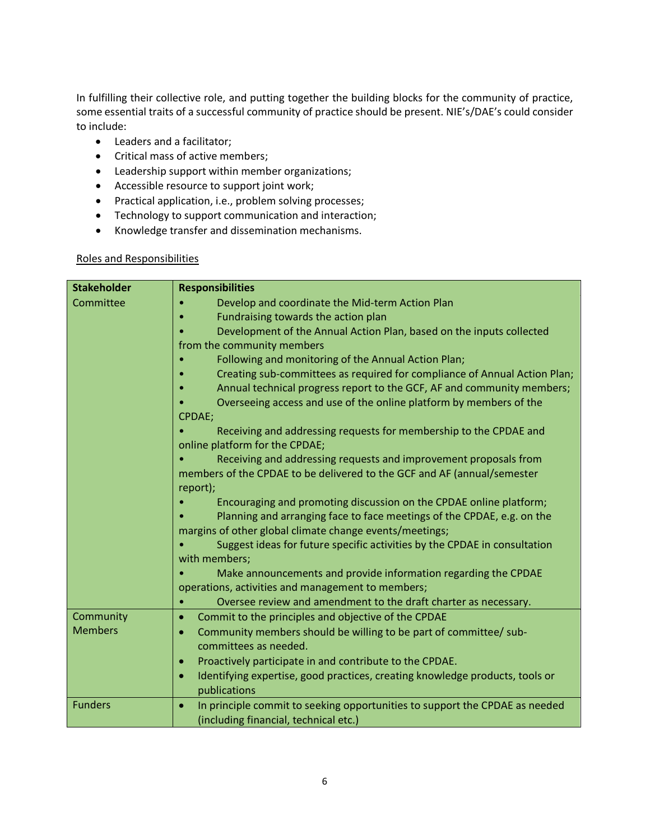In fulfilling their collective role, and putting together the building blocks for the community of practice, some essential traits of a successful community of practice should be present. NIE's/DAE's could consider to include:

- Leaders and a facilitator;
- Critical mass of active members;
- Leadership support within member organizations;
- Accessible resource to support joint work;
- Practical application, i.e., problem solving processes;
- Technology to support communication and interaction;
- Knowledge transfer and dissemination mechanisms.

#### Roles and Responsibilities

| <b>Stakeholder</b> | <b>Responsibilities</b>                                                                   |  |
|--------------------|-------------------------------------------------------------------------------------------|--|
| Committee          | Develop and coordinate the Mid-term Action Plan                                           |  |
|                    | Fundraising towards the action plan                                                       |  |
|                    | Development of the Annual Action Plan, based on the inputs collected                      |  |
|                    | from the community members                                                                |  |
|                    | Following and monitoring of the Annual Action Plan;                                       |  |
|                    | Creating sub-committees as required for compliance of Annual Action Plan;                 |  |
|                    | Annual technical progress report to the GCF, AF and community members;                    |  |
|                    | Overseeing access and use of the online platform by members of the                        |  |
|                    | CPDAE;                                                                                    |  |
|                    | Receiving and addressing requests for membership to the CPDAE and                         |  |
|                    | online platform for the CPDAE;                                                            |  |
|                    | Receiving and addressing requests and improvement proposals from                          |  |
|                    | members of the CPDAE to be delivered to the GCF and AF (annual/semester                   |  |
|                    | report);                                                                                  |  |
|                    | Encouraging and promoting discussion on the CPDAE online platform;                        |  |
|                    | Planning and arranging face to face meetings of the CPDAE, e.g. on the                    |  |
|                    | margins of other global climate change events/meetings;                                   |  |
|                    | Suggest ideas for future specific activities by the CPDAE in consultation                 |  |
|                    | with members;                                                                             |  |
|                    | Make announcements and provide information regarding the CPDAE                            |  |
|                    | operations, activities and management to members;                                         |  |
|                    | Oversee review and amendment to the draft charter as necessary.                           |  |
| Community          | Commit to the principles and objective of the CPDAE<br>$\bullet$                          |  |
| <b>Members</b>     | Community members should be willing to be part of committee/ sub-<br>$\bullet$            |  |
|                    | committees as needed.                                                                     |  |
|                    | Proactively participate in and contribute to the CPDAE.<br>$\bullet$                      |  |
|                    | Identifying expertise, good practices, creating knowledge products, tools or<br>$\bullet$ |  |
|                    | publications                                                                              |  |
| <b>Funders</b>     | In principle commit to seeking opportunities to support the CPDAE as needed<br>$\bullet$  |  |
|                    | (including financial, technical etc.)                                                     |  |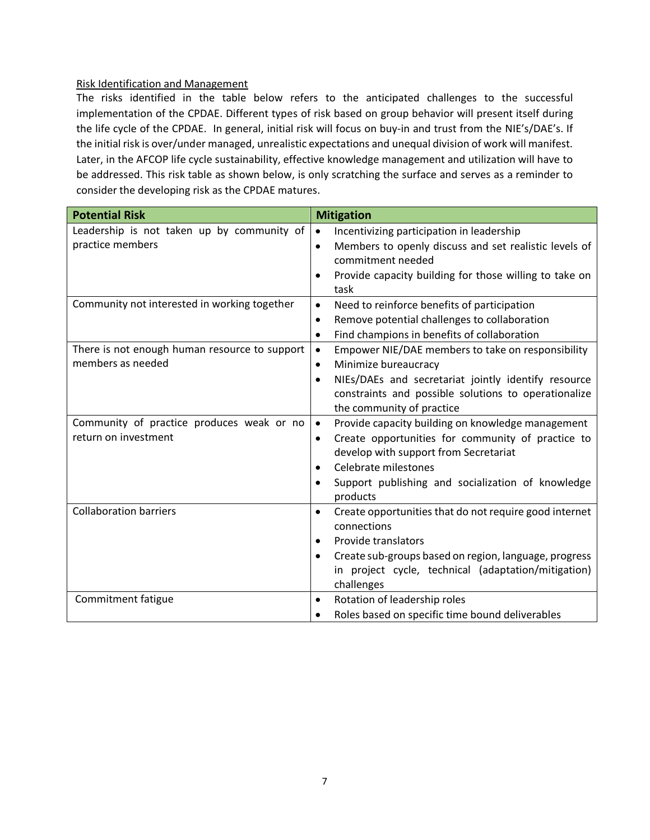#### Risk Identification and Management

The risks identified in the table below refers to the anticipated challenges to the successful implementation of the CPDAE. Different types of risk based on group behavior will present itself during the life cycle of the CPDAE. In general, initial risk will focus on buy-in and trust from the NIE's/DAE's. If the initial risk is over/under managed, unrealistic expectations and unequal division of work will manifest. Later, in the AFCOP life cycle sustainability, effective knowledge management and utilization will have to be addressed. This risk table as shown below, is only scratching the surface and serves as a reminder to consider the developing risk as the CPDAE matures.

| <b>Potential Risk</b>                         | <b>Mitigation</b>                                                   |
|-----------------------------------------------|---------------------------------------------------------------------|
| Leadership is not taken up by community of    | Incentivizing participation in leadership<br>$\bullet$              |
| practice members                              | Members to openly discuss and set realistic levels of<br>٠          |
|                                               | commitment needed                                                   |
|                                               | Provide capacity building for those willing to take on<br>٠         |
|                                               | task                                                                |
| Community not interested in working together  | Need to reinforce benefits of participation<br>$\bullet$            |
|                                               | Remove potential challenges to collaboration<br>$\bullet$           |
|                                               | Find champions in benefits of collaboration<br>$\bullet$            |
| There is not enough human resource to support | Empower NIE/DAE members to take on responsibility<br>$\bullet$      |
| members as needed                             | Minimize bureaucracy<br>$\bullet$                                   |
|                                               | NIEs/DAEs and secretariat jointly identify resource<br>$\bullet$    |
|                                               | constraints and possible solutions to operationalize                |
|                                               | the community of practice                                           |
| Community of practice produces weak or no     | Provide capacity building on knowledge management<br>$\bullet$      |
| return on investment                          | Create opportunities for community of practice to<br>$\bullet$      |
|                                               | develop with support from Secretariat                               |
|                                               | Celebrate milestones<br>$\bullet$                                   |
|                                               | Support publishing and socialization of knowledge<br>$\bullet$      |
|                                               | products                                                            |
| <b>Collaboration barriers</b>                 | Create opportunities that do not require good internet<br>$\bullet$ |
|                                               | connections                                                         |
|                                               | Provide translators<br>$\bullet$                                    |
|                                               | Create sub-groups based on region, language, progress<br>$\bullet$  |
|                                               | in project cycle, technical (adaptation/mitigation)                 |
|                                               | challenges                                                          |
| Commitment fatigue                            | Rotation of leadership roles<br>$\bullet$                           |
|                                               | Roles based on specific time bound deliverables<br>$\bullet$        |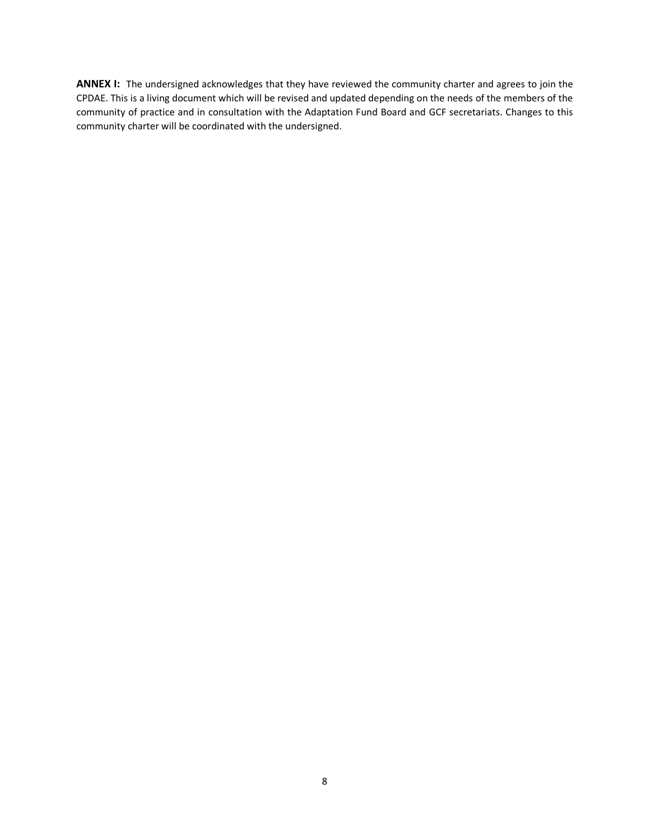**ANNEX I:** The undersigned acknowledges that they have reviewed the community charter and agrees to join the CPDAE. This is a living document which will be revised and updated depending on the needs of the members of the community of practice and in consultation with the Adaptation Fund Board and GCF secretariats. Changes to this community charter will be coordinated with the undersigned.